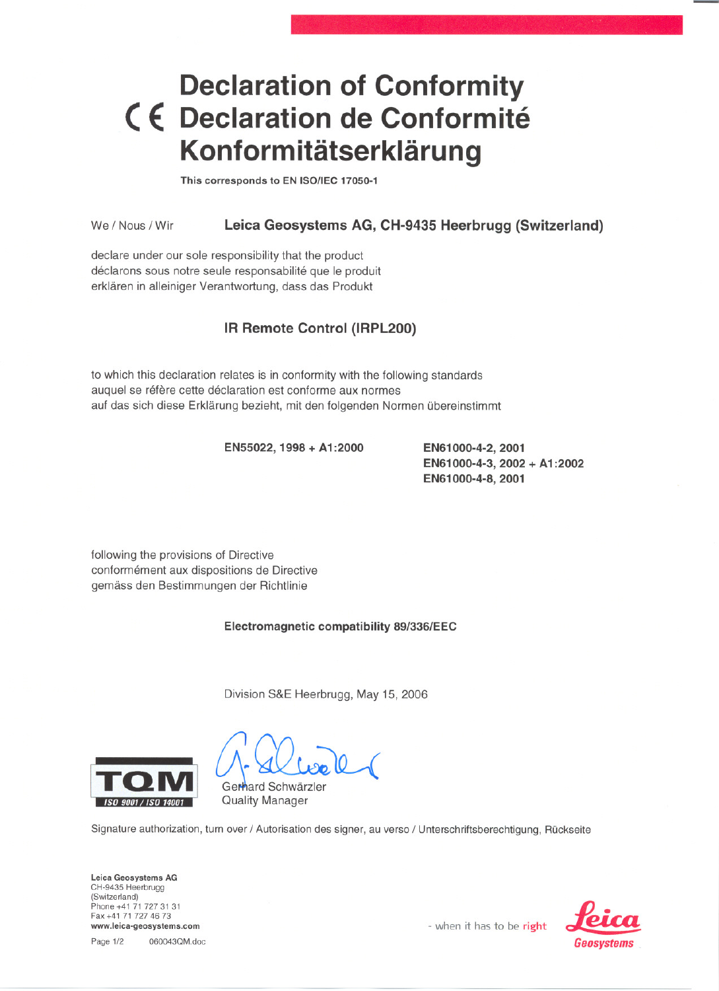## **Declaration of Conformity (€ Declaration de Conformite Konformitätserklärung**

This corresponds to EN ISO/IEC 17050-1

We / Nous / Wir Leica Geosystems AG, CH-9435 Heerbrugg (Switzerland)

declare under our sole responsibility that the product déclarons sous notre seule responsabilité que le produit erklären in alleiniger Verantwortung, dass das Produkt

## IR Remote Control (IRPl200)

to which this declaration relates is in conformity with the following standards auquel se réfère cette déclaration est conforme aux normes auf das sich diese Erklärung bezieht, mit den folgenden Normen übereinstimmt

EN55022, 1998 + A1:2000 EN61000-4-2, 2001

EN61000-4-3, 2002 + A1:2002 EN61000-4-8,2001

following the provisions of Directive conformement aux dispositions de Directive gemäss den Bestimmungen der Richtlinie

Electromagnetic compatibility 89/336/EEC

Division S&E Heerbrugg, May 15, 2006

**1SO 9001 / ISO 14001 TQ** 

Gerhard Schwärzler Quality Manager

Signature authorization, turn over / Autorisation des signer, au verso / Unterschriftsberechtigung, Rückseite

leica Geosystems AG CH-9435 Heerbrugg (Switzerland) Phone +41 71 727 31 31 Fax +41 71 727 46 73 Fax +41 71 727 46 73<br>www.leica-geosystems.com example and that when it has to be right  $\overline{\text{electrons}}$